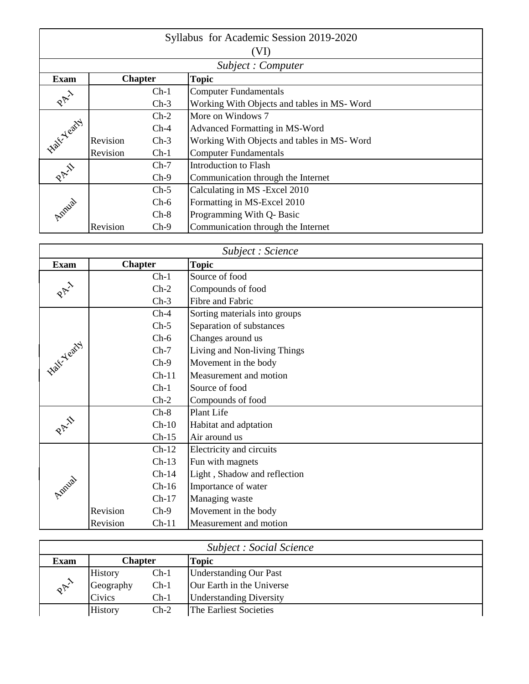| Syllabus for Academic Session 2019-2020 |          |                |                                            |  |  |
|-----------------------------------------|----------|----------------|--------------------------------------------|--|--|
|                                         | (VI)     |                |                                            |  |  |
|                                         |          |                | Subject: Computer                          |  |  |
| <b>Exam</b>                             |          | <b>Chapter</b> | <b>Topic</b>                               |  |  |
|                                         |          | $Ch-1$         | <b>Computer Fundamentals</b>               |  |  |
| PAY                                     |          | $Ch-3$         | Working With Objects and tables in MS-Word |  |  |
|                                         |          | $Ch-2$         | More on Windows 7                          |  |  |
|                                         |          | $Ch-4$         | Advanced Formatting in MS-Word             |  |  |
| <b>Halt Yearty</b>                      | Revision | $Ch-3$         | Working With Objects and tables in MS-Word |  |  |
|                                         | Revision | $Ch-1$         | <b>Computer Fundamentals</b>               |  |  |
|                                         |          | $Ch-7$         | Introduction to Flash                      |  |  |
| PAI                                     |          | $Ch-9$         | Communication through the Internet         |  |  |
|                                         |          | $Ch-5$         | Calculating in MS - Excel 2010             |  |  |
| Annial                                  |          | $Ch-6$         | Formatting in MS-Excel 2010                |  |  |
|                                         |          | $Ch-8$         | Programming With Q- Basic                  |  |  |
|                                         | Revision | $Ch-9$         | Communication through the Internet         |  |  |

| Subject : Science                  |                     |                               |  |
|------------------------------------|---------------------|-------------------------------|--|
| <b>Exam</b>                        | <b>Chapter</b>      | <b>Topic</b>                  |  |
|                                    | $Ch-1$              | Source of food                |  |
| $\mathcal{R}^{\uparrow\downarrow}$ | $Ch-2$              | Compounds of food             |  |
|                                    | $Ch-3$              | Fibre and Fabric              |  |
|                                    | $Ch-4$              | Sorting materials into groups |  |
|                                    | $Ch-5$              | Separation of substances      |  |
|                                    | $Ch-6$              | Changes around us             |  |
| <b>Half Yearty</b>                 | $Ch-7$              | Living and Non-living Things  |  |
|                                    | $Ch-9$              | Movement in the body          |  |
|                                    | $Ch-11$             | Measurement and motion        |  |
|                                    | $Ch-1$              | Source of food                |  |
|                                    | $Ch-2$              | Compounds of food             |  |
|                                    | $Ch-8$              | Plant Life                    |  |
| PAI                                | $Ch-10$             | Habitat and adptation         |  |
|                                    | $Ch-15$             | Air around us                 |  |
|                                    | $Ch-12$             | Electricity and circuits      |  |
|                                    | $Ch-13$             | Fun with magnets              |  |
|                                    | $Ch-14$             | Light, Shadow and reflection  |  |
| Annial                             | $Ch-16$             | Importance of water           |  |
|                                    | $Ch-17$             | Managing waste                |  |
|                                    | Revision<br>$Ch-9$  | Movement in the body          |  |
|                                    | Revision<br>$Ch-11$ | Measurement and motion        |  |

| <b>Subject : Social Science</b> |                |        |                                |  |
|---------------------------------|----------------|--------|--------------------------------|--|
| <b>Exam</b>                     | <b>Chapter</b> |        | <b>Topic</b>                   |  |
|                                 | <b>History</b> | $Ch-1$ | <b>Understanding Our Past</b>  |  |
| $\mathcal{R}^{\mathcal{N}}$     | Geography      | $Ch-1$ | Our Earth in the Universe      |  |
|                                 | Civics         | $Ch-1$ | <b>Understanding Diversity</b> |  |
|                                 | <b>History</b> | $Ch-2$ | The Earliest Societies         |  |
|                                 |                |        |                                |  |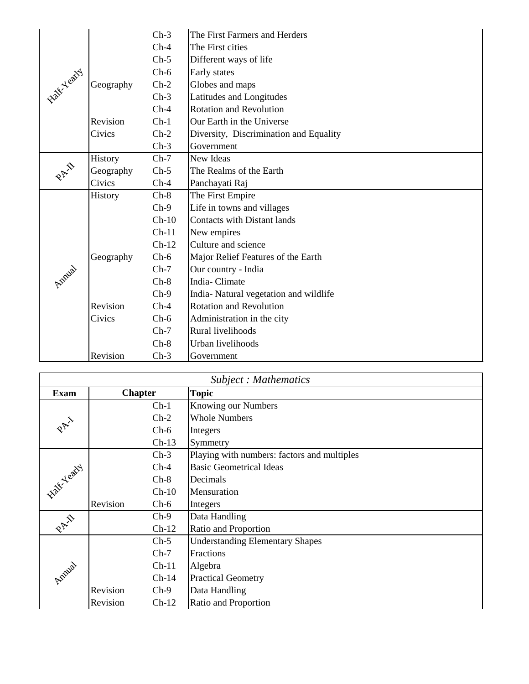|                     |                | $Ch-3$  | The First Farmers and Herders          |
|---------------------|----------------|---------|----------------------------------------|
|                     |                | $Ch-4$  | The First cities                       |
|                     |                | $Ch-5$  | Different ways of life                 |
| <b>Lake Y catty</b> |                | $Ch-6$  | Early states                           |
|                     | Geography      | $Ch-2$  | Globes and maps                        |
|                     |                | $Ch-3$  | Latitudes and Longitudes               |
|                     |                | $Ch-4$  | <b>Rotation and Revolution</b>         |
|                     | Revision       | $Ch-1$  | Our Earth in the Universe              |
|                     | Civics         | $Ch-2$  | Diversity, Discrimination and Equality |
|                     |                | $Ch-3$  | Government                             |
|                     | History        | $Ch-7$  | New Ideas                              |
| PAY                 | Geography      | $Ch-5$  | The Realms of the Earth                |
|                     | Civics         | $Ch-4$  | Panchayati Raj                         |
|                     | <b>History</b> | $Ch-8$  | The First Empire                       |
|                     |                | $Ch-9$  | Life in towns and villages             |
|                     |                | $Ch-10$ | <b>Contacts with Distant lands</b>     |
|                     |                | $Ch-11$ | New empires                            |
|                     |                | $Ch-12$ | Culture and science                    |
|                     | Geography      | $Ch-6$  | Major Relief Features of the Earth     |
| Annial              |                | $Ch-7$  | Our country - India                    |
|                     |                | $Ch-8$  | India-Climate                          |
|                     |                | $Ch-9$  | India-Natural vegetation and wildlife  |
|                     | Revision       | $Ch-4$  | <b>Rotation and Revolution</b>         |
|                     | Civics         | $Ch-6$  | Administration in the city             |
|                     |                | $Ch-7$  | Rural livelihoods                      |
|                     |                | $Ch-8$  | Urban livelihoods                      |
|                     | Revision       | $Ch-3$  | Government                             |

| Subject: Mathematics |                     |                                             |  |
|----------------------|---------------------|---------------------------------------------|--|
| <b>Exam</b>          | <b>Chapter</b>      | <b>Topic</b>                                |  |
|                      | $Ch-1$              | Knowing our Numbers                         |  |
|                      | $Ch-2$              | <b>Whole Numbers</b>                        |  |
| PAY                  | $Ch-6$              | Integers                                    |  |
|                      | $Ch-13$             | Symmetry                                    |  |
|                      | $Ch-3$              | Playing with numbers: factors and multiples |  |
|                      | $Ch-4$              | <b>Basic Geometrical Ideas</b>              |  |
|                      | $Ch-8$              | Decimals                                    |  |
| Half-Yeary 1         | $Ch-10$             | Mensuration                                 |  |
|                      | Revision<br>$Ch-6$  | Integers                                    |  |
|                      | $Ch-9$              | Data Handling                               |  |
| PAIL                 | $Ch-12$             | Ratio and Proportion                        |  |
|                      | $Ch-5$              | <b>Understanding Elementary Shapes</b>      |  |
|                      | $Ch-7$              | Fractions                                   |  |
|                      | $Ch-11$             | Algebra                                     |  |
| Amual                | $Ch-14$             | <b>Practical Geometry</b>                   |  |
|                      | Revision<br>$Ch-9$  | Data Handling                               |  |
|                      | Revision<br>$Ch-12$ | <b>Ratio and Proportion</b>                 |  |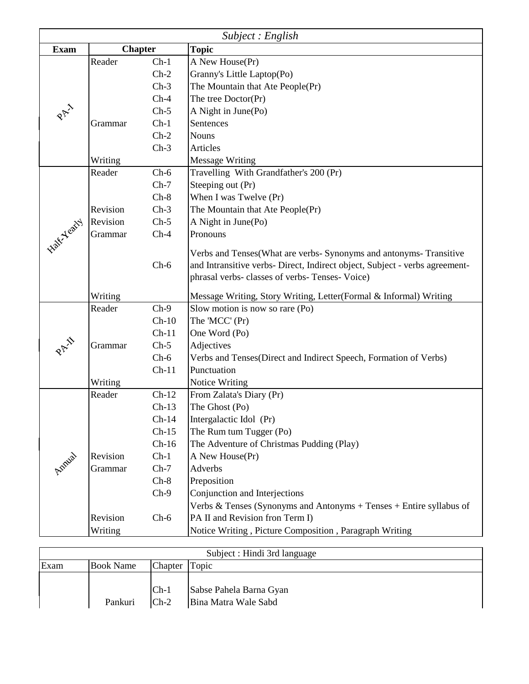|                      | Subject : English |         |                                                                             |  |  |
|----------------------|-------------------|---------|-----------------------------------------------------------------------------|--|--|
| <b>Exam</b>          | <b>Chapter</b>    |         | <b>Topic</b>                                                                |  |  |
|                      | Reader            | $Ch-1$  | A New House(Pr)                                                             |  |  |
|                      |                   | $Ch-2$  | Granny's Little Laptop(Po)                                                  |  |  |
|                      |                   | $Ch-3$  | The Mountain that Ate People(Pr)                                            |  |  |
|                      |                   | $Ch-4$  | The tree Doctor(Pr)                                                         |  |  |
| PAY                  |                   | $Ch-5$  | A Night in June(Po)                                                         |  |  |
|                      | Grammar           | $Ch-1$  | Sentences                                                                   |  |  |
|                      |                   | $Ch-2$  | <b>Nouns</b>                                                                |  |  |
|                      |                   | $Ch-3$  | Articles                                                                    |  |  |
|                      | Writing           |         | <b>Message Writing</b>                                                      |  |  |
|                      | Reader            | $Ch-6$  | Travelling With Grandfather's 200 (Pr)                                      |  |  |
|                      |                   | $Ch-7$  | Steeping out (Pr)                                                           |  |  |
|                      |                   | $Ch-8$  | When I was Twelve (Pr)                                                      |  |  |
|                      | Revision          | $Ch-3$  | The Mountain that Ate People(Pr)                                            |  |  |
|                      | Revision          | $Ch-5$  | A Night in June(Po)                                                         |  |  |
| <b>Native Yearty</b> | Grammar           | $Ch-4$  | Pronouns                                                                    |  |  |
|                      |                   |         | Verbs and Tenses(What are verbs- Synonyms and antonyms- Transitive          |  |  |
|                      |                   | $Ch-6$  | and Intransitive verbs- Direct, Indirect object, Subject - verbs agreement- |  |  |
|                      |                   |         | phrasal verbs- classes of verbs- Tenses- Voice)                             |  |  |
|                      |                   |         |                                                                             |  |  |
|                      | Writing           |         | Message Writing, Story Writing, Letter(Formal & Informal) Writing           |  |  |
|                      | Reader            | $Ch-9$  | Slow motion is now so rare (Po)                                             |  |  |
|                      |                   | $Ch-10$ | The 'MCC' (Pr)                                                              |  |  |
|                      |                   | $Ch-11$ | One Word (Po)                                                               |  |  |
| PAI                  | Grammar           | $Ch-5$  | Adjectives                                                                  |  |  |
|                      |                   | $Ch-6$  | Verbs and Tenses(Direct and Indirect Speech, Formation of Verbs)            |  |  |
|                      |                   | $Ch-11$ | Punctuation                                                                 |  |  |
|                      | Writing           |         | <b>Notice Writing</b>                                                       |  |  |
|                      | Reader            | $Ch-12$ | From Zalata's Diary (Pr)                                                    |  |  |
|                      |                   | $Ch-13$ | The Ghost (Po)                                                              |  |  |
|                      |                   | $Ch-14$ | Intergalactic Idol (Pr)                                                     |  |  |
|                      |                   | $Ch-15$ | The Rum tum Tugger (Po)                                                     |  |  |
|                      |                   | $Ch-16$ | The Adventure of Christmas Pudding (Play)                                   |  |  |
| Annual               | Revision          | $Ch-1$  | A New House(Pr)                                                             |  |  |
|                      | Grammar           | $Ch-7$  | Adverbs                                                                     |  |  |
|                      |                   | $Ch-8$  | Preposition                                                                 |  |  |
|                      |                   | $Ch-9$  | Conjunction and Interjections                                               |  |  |
|                      |                   |         | Verbs & Tenses (Synonyms and Antonyms + Tenses + Entire syllabus of         |  |  |
|                      | Revision          | $Ch-6$  | PA II and Revision fron Term I)                                             |  |  |
|                      | Writing           |         | Notice Writing, Picture Composition, Paragraph Writing                      |  |  |

| Subject : Hindi 3rd language |                  |                  |                                                 |
|------------------------------|------------------|------------------|-------------------------------------------------|
| Exam                         | <b>Book Name</b> | Chapter Topic    |                                                 |
|                              | Pankuri          | $Ch-1$<br>$Ch-2$ | Sabse Pahela Barna Gyan<br>Bina Matra Wale Sabd |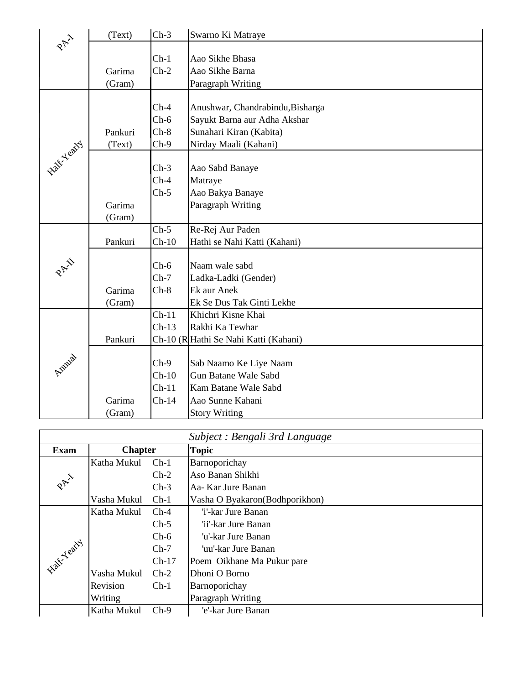| PAI                | (Text)  | $Ch-3$  | Swarno Ki Matraye                     |
|--------------------|---------|---------|---------------------------------------|
|                    |         |         |                                       |
|                    |         | $Ch-1$  | Aao Sikhe Bhasa                       |
|                    | Garima  | $Ch-2$  | Aao Sikhe Barna                       |
|                    | (Gram)  |         | Paragraph Writing                     |
|                    |         |         |                                       |
|                    |         | $Ch-4$  | Anushwar, Chandrabindu, Bisharga      |
|                    |         | $Ch-6$  | Sayukt Barna aur Adha Akshar          |
|                    | Pankuri | $Ch-8$  | Sunahari Kiran (Kabita)               |
|                    | (Text)  | $Ch-9$  | Nirday Maali (Kahani)                 |
| <b>Half-Yearty</b> |         |         |                                       |
|                    |         | $Ch-3$  | Aao Sabd Banaye                       |
|                    |         | $Ch-4$  | Matraye                               |
|                    |         | $Ch-5$  | Aao Bakya Banaye                      |
|                    | Garima  |         | Paragraph Writing                     |
|                    | (Gram)  |         |                                       |
|                    |         | $Ch-5$  | Re-Rej Aur Paden                      |
|                    | Pankuri | $Ch-10$ | Hathi se Nahi Katti (Kahani)          |
|                    |         |         |                                       |
| PAI                |         | $Ch-6$  | Naam wale sabd                        |
|                    |         | $Ch-7$  | Ladka-Ladki (Gender)                  |
|                    | Garima  | $Ch-8$  | Ek aur Anek                           |
|                    | (Gram)  |         | Ek Se Dus Tak Ginti Lekhe             |
|                    |         | $Ch-11$ | Khichri Kisne Khai                    |
|                    |         | $Ch-13$ | Rakhi Ka Tewhar                       |
|                    | Pankuri |         | Ch-10 (R Hathi Se Nahi Katti (Kahani) |
|                    |         |         |                                       |
|                    |         | $Ch-9$  | Sab Naamo Ke Liye Naam                |
| Antural            |         | $Ch-10$ | <b>Gun Batane Wale Sabd</b>           |
|                    |         | $Ch-11$ | Kam Batane Wale Sabd                  |
|                    | Garima  | $Ch-14$ | Aao Sunne Kahani                      |
|                    | (Gram)  |         | <b>Story Writing</b>                  |

| Subject : Bengali 3rd Language |                |         |                                 |  |
|--------------------------------|----------------|---------|---------------------------------|--|
| <b>Exam</b>                    | <b>Chapter</b> |         | <b>Topic</b>                    |  |
|                                | Katha Mukul    | $Ch-1$  | Barnoporichay                   |  |
|                                |                | $Ch-2$  | Aso Banan Shikhi                |  |
| PAY                            |                | $Ch-3$  | Aa- Kar Jure Banan              |  |
|                                | Vasha Mukul    | $Ch-1$  | Vasha O Byakaron (Bodhporikhon) |  |
|                                | Katha Mukul    | $Ch-4$  | 'i'-kar Jure Banan              |  |
|                                |                | $Ch-5$  | 'ii'-kar Jure Banan             |  |
|                                |                | $Ch-6$  | 'u'-kar Jure Banan-             |  |
|                                |                | $Ch-7$  | 'uu'-kar Jure Banan-            |  |
|                                |                | $Ch-17$ | Poem Oikhane Ma Pukur pare      |  |
|                                | Vasha Mukul    | $Ch-2$  | Dhoni O Borno                   |  |
|                                | Revision       | $Ch-1$  | Barnoporichay                   |  |
|                                | Writing        |         | Paragraph Writing               |  |
|                                | Katha Mukul    | $Ch-9$  | 'e'-kar Jure Banan              |  |
| <b>Halt Yeary</b>              |                |         |                                 |  |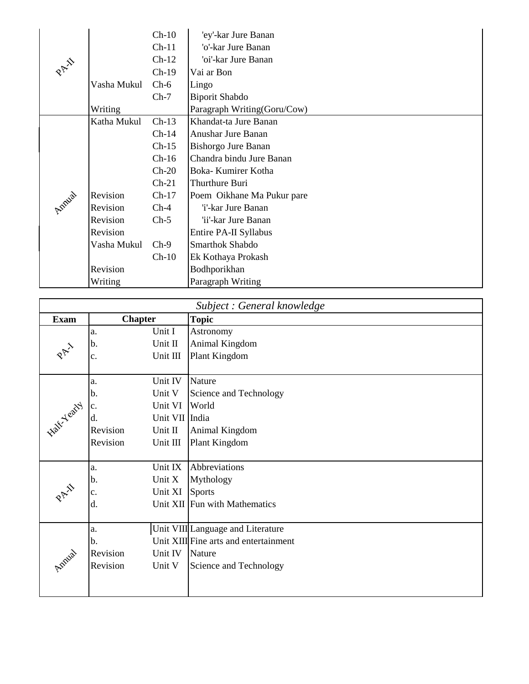|       |             | $Ch-10$ | 'ey'-kar Jure Banan         |
|-------|-------------|---------|-----------------------------|
|       |             | $Ch-11$ | 'o'-kar Jure Banan          |
|       |             | $Ch-12$ | 'oi'-kar Jure Banan         |
| PAIN  |             | $Ch-19$ | Vai ar Bon                  |
|       | Vasha Mukul | $Ch-6$  | Lingo                       |
|       |             | $Ch-7$  | <b>Biporit Shabdo</b>       |
|       | Writing     |         | Paragraph Writing(Goru/Cow) |
|       | Katha Mukul | $Ch-13$ | Khandat-ta Jure Banan       |
|       |             | $Ch-14$ | Anushar Jure Banan          |
|       |             | $Ch-15$ | Bishorgo Jure Banan         |
|       |             | $Ch-16$ | Chandra bindu Jure Banan    |
|       |             | $Ch-20$ | Boka- Kumirer Kotha         |
|       |             | $Ch-21$ | Thurthure Buri              |
| Amual | Revision    | $Ch-17$ | Poem Oikhane Ma Pukur pare  |
|       | Revision    | $Ch-4$  | 'i'-kar Jure Banan          |
|       | Revision    | $Ch-5$  | 'ii'-kar Jure Banan         |
|       | Revision    |         | Entire PA-II Syllabus       |
|       | Vasha Mukul | $Ch-9$  | Smarthok Shabdo             |
|       |             | $Ch-10$ | Ek Kothaya Prokash          |
|       | Revision    |         | Bodhporikhan                |
|       | Writing     |         | Paragraph Writing           |

| Subject : General knowledge |                            |                                       |  |
|-----------------------------|----------------------------|---------------------------------------|--|
| <b>Exam</b>                 | <b>Chapter</b>             | <b>Topic</b>                          |  |
|                             | Unit I<br>a.               | Astronomy                             |  |
| PA 1                        | b.<br>Unit II              | Animal Kingdom                        |  |
|                             | Unit III<br>$\mathbf{c}$ . | Plant Kingdom                         |  |
|                             |                            |                                       |  |
|                             | Unit IV<br>a.              | Nature                                |  |
|                             | Unit V<br>b.               | Science and Technology                |  |
|                             | Unit VI<br>$\mathbf{c}$ .  | World                                 |  |
|                             | Unit VII India<br>d.       |                                       |  |
| <b>Accord Property 1</b>    | Revision<br>Unit II        | Animal Kingdom                        |  |
|                             | Revision<br>Unit III       | Plant Kingdom                         |  |
|                             |                            |                                       |  |
|                             | Unit IX<br>a.              | Abbreviations                         |  |
|                             | Unit X<br>b.               | Mythology                             |  |
| 2 H                         | Unit XI<br>c.              | <b>Sports</b>                         |  |
|                             | d.                         | Unit XII Fun with Mathematics         |  |
|                             |                            |                                       |  |
|                             | a.                         | Unit VIII Language and Literature     |  |
|                             | b.                         | Unit XIII Fine arts and entertainment |  |
|                             | Unit IV<br>Revision        | Nature                                |  |
| Amual                       | Revision<br>Unit V         | Science and Technology                |  |
|                             |                            |                                       |  |
|                             |                            |                                       |  |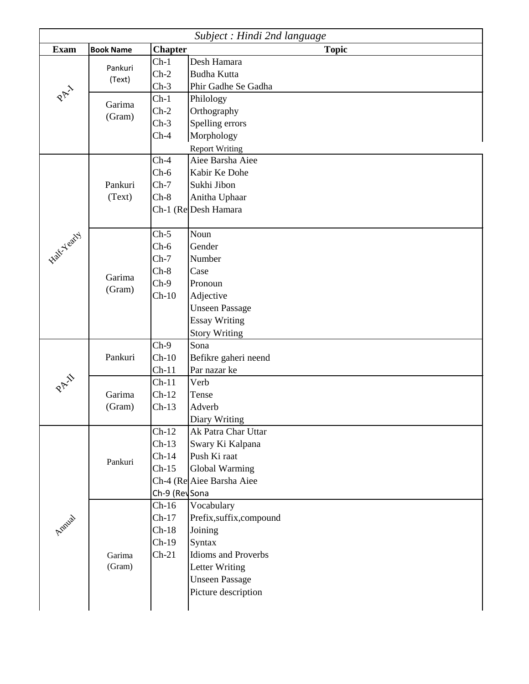| Subject : Hindi 2nd language |                  |                |                            |  |
|------------------------------|------------------|----------------|----------------------------|--|
| <b>Exam</b>                  | <b>Book Name</b> | <b>Chapter</b> | <b>Topic</b>               |  |
|                              | Pankuri          | $Ch-1$         | Desh Hamara                |  |
|                              | (Text)           | $Ch-2$         | <b>Budha Kutta</b>         |  |
| PAY                          |                  | $Ch-3$         | Phir Gadhe Se Gadha        |  |
|                              | Garima           | $Ch-1$         | Philology                  |  |
|                              | (Gram)           | $Ch-2$         | Orthography                |  |
|                              |                  | $Ch-3$         | Spelling errors            |  |
|                              |                  | $Ch-4$         | Morphology                 |  |
|                              |                  |                | <b>Report Writing</b>      |  |
|                              |                  | $Ch-4$         | Aiee Barsha Aiee           |  |
|                              |                  | $Ch-6$         | Kabir Ke Dohe              |  |
|                              | Pankuri          | $Ch-7$         | Sukhi Jibon                |  |
|                              | (Text)           | $Ch-8$         | Anitha Uphaar              |  |
|                              |                  |                | Ch-1 (Re Desh Hamara       |  |
|                              |                  |                |                            |  |
| Half-Yearty                  |                  | $Ch-5$         | Noun                       |  |
|                              |                  | $Ch-6$         | Gender                     |  |
|                              |                  | $Ch-7$         | Number                     |  |
|                              | Garima           | $Ch-8$         | Case                       |  |
|                              |                  | $Ch-9$         | Pronoun                    |  |
|                              | (Gram)           | $Ch-10$        | Adjective                  |  |
|                              |                  |                | <b>Unseen Passage</b>      |  |
|                              |                  |                | <b>Essay Writing</b>       |  |
|                              |                  |                | <b>Story Writing</b>       |  |
|                              |                  | $Ch-9$         | Sona                       |  |
|                              | Pankuri          | $Ch-10$        | Befikre gaheri neend       |  |
|                              |                  | $Ch-11$        | Par nazar ke               |  |
| $\hat{\mathbf{S}}$           |                  | $Ch-11$        | Verb                       |  |
| $\mathcal{R}^{\nabla^2}$     | Garima           | $Ch-12$        | Tense                      |  |
|                              | (Gram)           | $Ch-13$        | Adverb                     |  |
|                              |                  |                | Diary Writing              |  |
|                              |                  | $Ch-12$        | Ak Patra Char Uttar        |  |
|                              |                  | $Ch-13$        | Swary Ki Kalpana           |  |
|                              |                  | $Ch-14$        | Push Ki raat               |  |
|                              | Pankuri          | $Ch-15$        | Global Warming             |  |
|                              |                  |                | Ch-4 (Re Aiee Barsha Aiee  |  |
|                              |                  | Ch-9 (RevSona  |                            |  |
|                              |                  | $Ch-16$        | Vocabulary                 |  |
|                              |                  | $Ch-17$        | Prefix,suffix,compound     |  |
| Annia                        |                  | $Ch-18$        | Joining                    |  |
|                              |                  | $Ch-19$        | Syntax                     |  |
|                              | Garima           | $Ch-21$        | <b>Idioms and Proverbs</b> |  |
|                              | (Gram)           |                | <b>Letter Writing</b>      |  |
|                              |                  |                | <b>Unseen Passage</b>      |  |
|                              |                  |                | Picture description        |  |
|                              |                  |                |                            |  |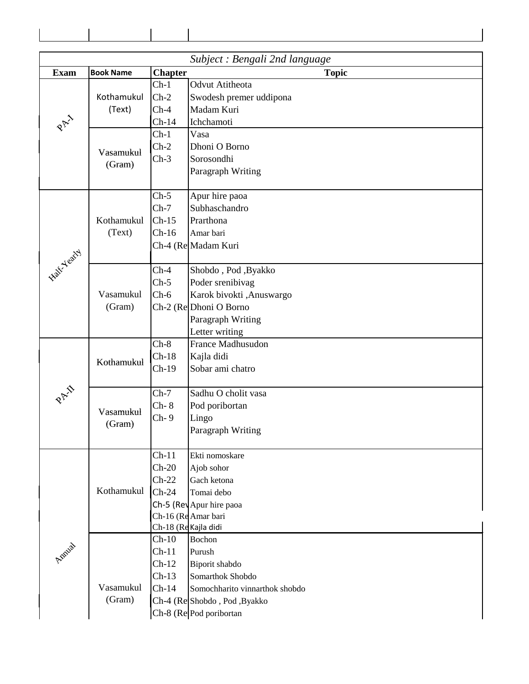| Subject : Bengali 2nd language |                  |                      |                                               |  |  |  |
|--------------------------------|------------------|----------------------|-----------------------------------------------|--|--|--|
| <b>Exam</b>                    | <b>Book Name</b> | <b>Chapter</b>       | <b>Topic</b>                                  |  |  |  |
|                                |                  | $Ch-1$               | <b>Odvut Atitheota</b>                        |  |  |  |
|                                | Kothamukul       | $Ch-2$               | Swodesh premer uddipona                       |  |  |  |
|                                | (Text)           | $Ch-4$               | Madam Kuri                                    |  |  |  |
| PAY                            |                  | $Ch-14$              | Ichchamoti                                    |  |  |  |
|                                |                  | $Ch-1$               | Vasa                                          |  |  |  |
|                                |                  | $Ch-2$               | Dhoni O Borno                                 |  |  |  |
|                                | Vasamukul        | $Ch-3$               | Sorosondhi                                    |  |  |  |
|                                | (Gram)           |                      | Paragraph Writing                             |  |  |  |
|                                |                  |                      |                                               |  |  |  |
|                                |                  | $Ch-5$               | Apur hire paoa                                |  |  |  |
|                                |                  | $Ch-7$               | Subhaschandro                                 |  |  |  |
|                                | Kothamukul       | $Ch-15$              | Prarthona                                     |  |  |  |
|                                | (Text)           | $Ch-16$              | Amar bari                                     |  |  |  |
|                                |                  |                      | Ch-4 (Re Madam Kuri                           |  |  |  |
| Halt-Yearty                    |                  |                      |                                               |  |  |  |
|                                |                  | $Ch-4$               | Shobdo, Pod, Byakko                           |  |  |  |
|                                |                  | $Ch-5$               | Poder srenibivag                              |  |  |  |
|                                | Vasamukul        | $Ch-6$               | Karok bivokti ,Anuswargo                      |  |  |  |
|                                | (Gram)           |                      | Ch-2 (Re Dhoni O Borno                        |  |  |  |
|                                |                  |                      | Paragraph Writing                             |  |  |  |
|                                |                  |                      | Letter writing                                |  |  |  |
|                                |                  | $Ch-8$               | France Madhusudon                             |  |  |  |
|                                | Kothamukul       | $Ch-18$              | Kajla didi                                    |  |  |  |
|                                |                  | $Ch-19$              | Sobar ami chatro                              |  |  |  |
|                                |                  |                      |                                               |  |  |  |
|                                |                  | $Ch-7$               | Sadhu O cholit vasa                           |  |  |  |
|                                | Vasamukul        | $Ch-8$               | Pod poribortan                                |  |  |  |
|                                | (Gram)           | $Ch-9$               | Lingo                                         |  |  |  |
|                                |                  |                      | Paragraph Writing                             |  |  |  |
|                                |                  | $Ch-11$              | Ekti nomoskare                                |  |  |  |
|                                |                  | $Ch-20$              | Ajob sohor                                    |  |  |  |
|                                |                  | $Ch-22$              | Gach ketona                                   |  |  |  |
|                                | Kothamukul       | $Ch-24$              | Tomai debo                                    |  |  |  |
|                                |                  |                      |                                               |  |  |  |
|                                |                  |                      | Ch-5 (RevApur hire paoa<br>Ch-16 (ReAmar bari |  |  |  |
|                                |                  | Ch-18 (Re Kajla didi |                                               |  |  |  |
|                                |                  | $Ch-10$              | Bochon                                        |  |  |  |
| Annia                          |                  | $Ch-11$              | Purush                                        |  |  |  |
|                                |                  | $Ch-12$              | Biporit shabdo                                |  |  |  |
|                                |                  | $Ch-13$              | Somarthok Shobdo                              |  |  |  |
|                                | Vasamukul        | $Ch-14$              | Somochharito vinnarthok shobdo                |  |  |  |
|                                | (Gram)           |                      | Ch-4 (Re Shobdo, Pod, Byakko                  |  |  |  |
|                                |                  |                      | Ch-8 (Re Pod poribortan                       |  |  |  |
|                                |                  |                      |                                               |  |  |  |